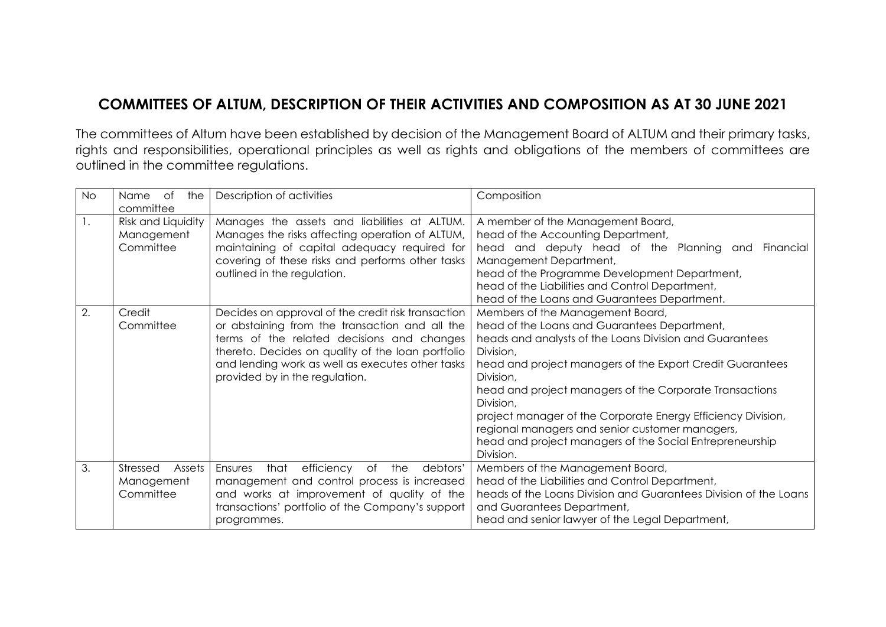## **COMMITTEES OF ALTUM, DESCRIPTION OF THEIR ACTIVITIES AND COMPOSITION AS AT 30 JUNE 2021**

The committees of Altum have been established by decision of the Management Board of ALTUM and their primary tasks, rights and responsibilities, operational principles as well as rights and obligations of the members of committees are outlined in the committee regulations.

| <b>No</b>      | of<br>the<br>Name<br>committee                | Description of activities                                                                                                                                                                                                                                                                     | Composition                                                                                                                                                                                                                                                                                                                                                                                                                                                                                            |
|----------------|-----------------------------------------------|-----------------------------------------------------------------------------------------------------------------------------------------------------------------------------------------------------------------------------------------------------------------------------------------------|--------------------------------------------------------------------------------------------------------------------------------------------------------------------------------------------------------------------------------------------------------------------------------------------------------------------------------------------------------------------------------------------------------------------------------------------------------------------------------------------------------|
| $\mathbf{1}$ . | Risk and Liquidity<br>Management<br>Committee | Manages the assets and liabilities at ALTUM.<br>Manages the risks affecting operation of ALTUM,<br>maintaining of capital adequacy required for<br>covering of these risks and performs other tasks<br>outlined in the regulation.                                                            | A member of the Management Board,<br>head of the Accounting Department,<br>head and deputy head of the Planning and Financial<br>Management Department,<br>head of the Programme Development Department,<br>head of the Liabilities and Control Department,<br>head of the Loans and Guarantees Department.                                                                                                                                                                                            |
| 2.             | Credit<br>Committee                           | Decides on approval of the credit risk transaction<br>or abstaining from the transaction and all the<br>terms of the related decisions and changes<br>thereto. Decides on quality of the loan portfolio<br>and lending work as well as executes other tasks<br>provided by in the regulation. | Members of the Management Board,<br>head of the Loans and Guarantees Department,<br>heads and analysts of the Loans Division and Guarantees<br>Division,<br>head and project managers of the Export Credit Guarantees<br>Division,<br>head and project managers of the Corporate Transactions<br>Division,<br>project manager of the Corporate Energy Efficiency Division,<br>regional managers and senior customer managers,<br>head and project managers of the Social Entrepreneurship<br>Division. |
| 3.             | Stressed<br>Assets<br>Management<br>Committee | efficiency<br>that<br>of the<br>debtors'<br>Ensures<br>management and control process is increased<br>and works at improvement of quality of the<br>transactions' portfolio of the Company's support<br>programmes.                                                                           | Members of the Management Board,<br>head of the Liabilities and Control Department,<br>heads of the Loans Division and Guarantees Division of the Loans<br>and Guarantees Department,<br>head and senior lawyer of the Legal Department,                                                                                                                                                                                                                                                               |